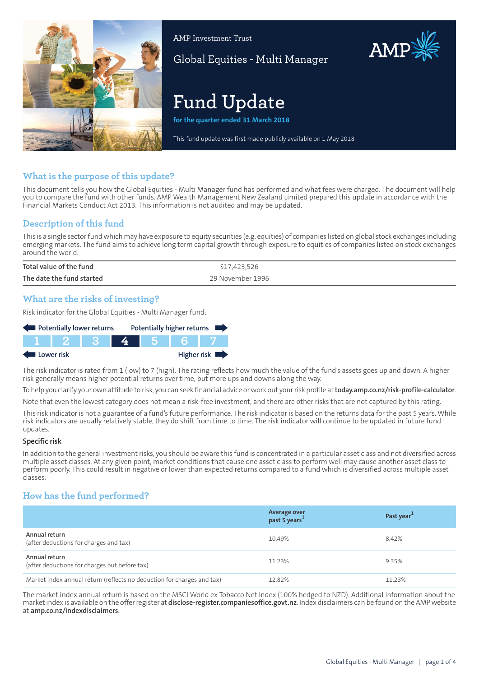

AMP Investment Trust

Global Equities - Multi Manager

# **Fund Update**

**for the quarter ended 31 March 2018**

This fund update was first made publicly available on 1 May 2018

## **What is the purpose of this update?**

This document tells you how the Global Equities - Multi Manager fund has performed and what fees were charged. The document will help you to compare the fund with other funds. AMP Wealth Management New Zealand Limited prepared this update in accordance with the Financial Markets Conduct Act 2013. This information is not audited and may be updated.

# **Description of this fund**

This is a single sectorfund which may have exposure to equity securities (e.g. equities) of companies listed on global stock exchanges including emerging markets. The fund aims to achieve long term capital growth through exposure to equities of companies listed on stock exchanges around the world.

| Total value of the fund   | 7,423,526        |
|---------------------------|------------------|
| The date the fund started | 29 November 1996 |

## **What are the risks of investing?**

Risk indicator for the Global Equities - Multi Manager fund:

| Potentially lower returns |  |  |  | Potentially higher returns |             |
|---------------------------|--|--|--|----------------------------|-------------|
|                           |  |  |  |                            |             |
| Lower risk                |  |  |  |                            | Higher risk |

The risk indicator is rated from 1 (low) to 7 (high). The rating reflects how much the value of the fund's assets goes up and down. A higher risk generally means higher potential returns over time, but more ups and downs along the way.

To help you clarify your own attitude to risk, you can seek financial advice orwork out yourrisk profile at**[today.amp.co.nz/risk-profile-calculator](http://today.amp.co.nz/risk-profile-calculator)**.

Note that even the lowest category does not mean a risk-free investment, and there are other risks that are not captured by this rating.

This risk indicator is not a guarantee of a fund's future performance. The risk indicator is based on the returns data for the past 5 years. While risk indicators are usually relatively stable, they do shift from time to time. The risk indicator will continue to be updated in future fund updates.

#### **Specific risk**

In addition to the general investmentrisks, you should be aware this fund is concentrated in a particular asset class and not diversified across multiple asset classes. At any given point, market conditions that cause one asset class to perform well may cause another asset class to perform poorly. This could result in negative or lower than expected returns compared to a fund which is diversified across multiple asset classes.

# **How has the fund performed?**

|                                                                        | Average over<br>past 5 years <sup>1</sup> | Past year <sup>1</sup> |
|------------------------------------------------------------------------|-------------------------------------------|------------------------|
| Annual return<br>(after deductions for charges and tax)                | 10.49%                                    | 8.42%                  |
| Annual return<br>(after deductions for charges but before tax)         | 11.23%                                    | 9.35%                  |
| Market index annual return (reflects no deduction for charges and tax) | 12.82%                                    | 11.23%                 |

The market index annual return is based on the MSCI World ex Tobacco Net Index (100% hedged to NZD). Additional information about the marketindex is available on the offerregister at **[disclose-register.companiesoffice.govt.nz](https://disclose-register.companiesoffice.govt.nz/)**. Index disclaimers can be found on the AMP website at **[amp.co.nz/indexdisclaimers](http://amp.co.nz/indexdisclaimers)**.

AMP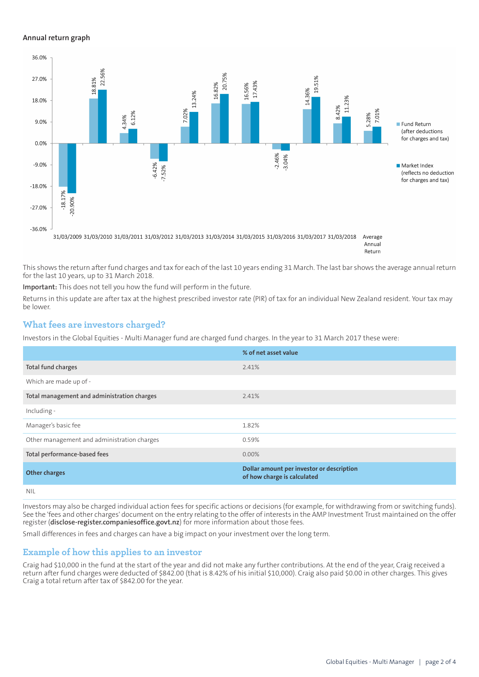#### **Annual return graph**



Return

This shows the return after fund charges and tax for each of the last 10 years ending 31 March. The last bar shows the average annual return for the last 10 years, up to 31 March 2018.

**Important:** This does not tell you how the fund will perform in the future.

Returns in this update are after tax at the highest prescribed investor rate (PIR) of tax for an individual New Zealand resident. Your tax may be lower.

## **What fees are investors charged?**

Investors in the Global Equities - Multi Manager fund are charged fund charges. In the year to 31 March 2017 these were:

|                                             | % of net asset value                                                     |
|---------------------------------------------|--------------------------------------------------------------------------|
| Total fund charges                          | 2.41%                                                                    |
| Which are made up of -                      |                                                                          |
| Total management and administration charges | 2.41%                                                                    |
| Including -                                 |                                                                          |
| Manager's basic fee                         | 1.82%                                                                    |
| Other management and administration charges | 0.59%                                                                    |
| Total performance-based fees                | $0.00\%$                                                                 |
| <b>Other charges</b>                        | Dollar amount per investor or description<br>of how charge is calculated |
| .                                           |                                                                          |

NIL

Investors may also be charged individual action fees for specific actions or decisions (for example, for withdrawing from or switching funds). See the 'fees and other charges' document on the entry relating to the offer of interests in the AMP Investment Trust maintained on the offer register (**[disclose-register.companiesoffice.govt.nz](https://disclose-register.companiesoffice.govt.nz/)**) for more information about those fees.

Small differences in fees and charges can have a big impact on your investment over the long term.

## **Example of how this applies to an investor**

Craig had \$10,000 in the fund at the start of the year and did not make any further contributions. At the end of the year, Craig received a return after fund charges were deducted of \$842.00 (that is 8.42% of his initial \$10,000). Craig also paid \$0.00 in other charges. This gives Craig a total return after tax of \$842.00 for the year.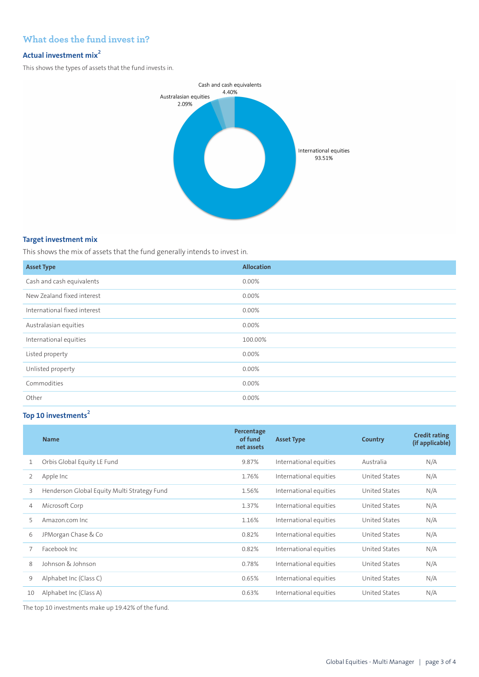# **What does the fund invest in?**

## **Actual investment mix<sup>2</sup>**

This shows the types of assets that the fund invests in.



## **Target investment mix**

This shows the mix of assets that the fund generally intends to invest in.

| <b>Asset Type</b>            | <b>Allocation</b> |
|------------------------------|-------------------|
| Cash and cash equivalents    | 0.00%             |
| New Zealand fixed interest   | 0.00%             |
| International fixed interest | 0.00%             |
| Australasian equities        | 0.00%             |
| International equities       | 100.00%           |
| Listed property              | 0.00%             |
| Unlisted property            | 0.00%             |
| Commodities                  | 0.00%             |
| Other                        | 0.00%             |

# **Top 10 investments<sup>2</sup>**

|    | <b>Name</b>                                 | Percentage<br>of fund<br>net assets | <b>Asset Type</b>      | Country       | <b>Credit rating</b><br>(if applicable) |
|----|---------------------------------------------|-------------------------------------|------------------------|---------------|-----------------------------------------|
| 1  | Orbis Global Equity LE Fund                 | 9.87%                               | International equities | Australia     | N/A                                     |
| 2  | Apple Inc                                   | 1.76%                               | International equities | United States | N/A                                     |
| 3  | Henderson Global Equity Multi Strategy Fund | 1.56%                               | International equities | United States | N/A                                     |
| 4  | Microsoft Corp                              | 1.37%                               | International equities | United States | N/A                                     |
| 5  | Amazon.com Inc                              | 1.16%                               | International equities | United States | N/A                                     |
| 6  | JPMorgan Chase & Co                         | 0.82%                               | International equities | United States | N/A                                     |
|    | Facebook Inc.                               | 0.82%                               | International equities | United States | N/A                                     |
| 8  | Johnson & Johnson                           | 0.78%                               | International equities | United States | N/A                                     |
| 9  | Alphabet Inc (Class C)                      | 0.65%                               | International equities | United States | N/A                                     |
| 10 | Alphabet Inc (Class A)                      | 0.63%                               | International equities | United States | N/A                                     |

The top 10 investments make up 19.42% of the fund.